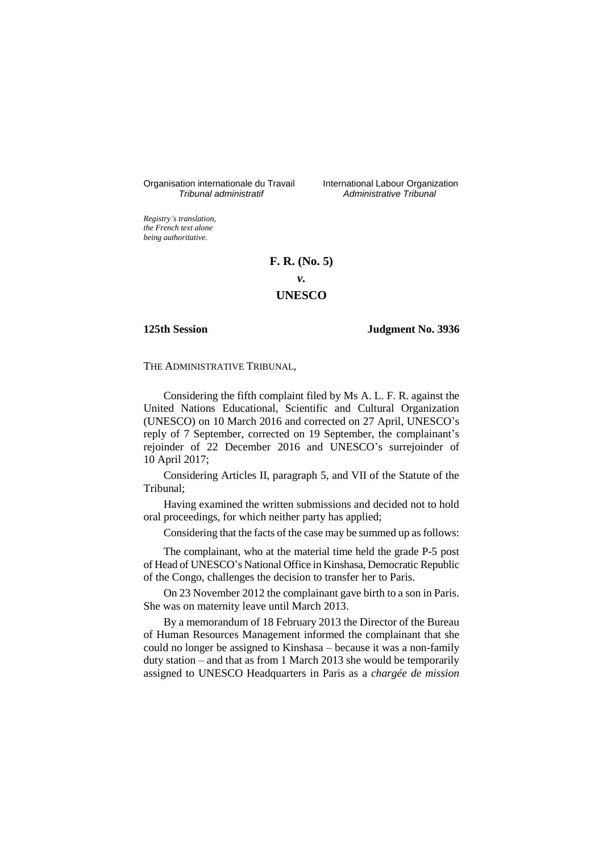Organisation internationale du Travail International Labour Organization<br>*Tribunal administratif Administrative Tribunal* 

*Tribunal administratif Administrative Tribunal*

*Registry's translation, the French text alone being authoritative.*

# **F. R. (No. 5)**

*v.*

# **UNESCO**

## **125th Session Judgment No. 3936**

THE ADMINISTRATIVE TRIBUNAL,

Considering the fifth complaint filed by Ms A. L. F. R. against the United Nations Educational, Scientific and Cultural Organization (UNESCO) on 10 March 2016 and corrected on 27 April, UNESCO's reply of 7 September, corrected on 19 September, the complainant's rejoinder of 22 December 2016 and UNESCO's surrejoinder of 10 April 2017;

Considering Articles II, paragraph 5, and VII of the Statute of the Tribunal;

Having examined the written submissions and decided not to hold oral proceedings, for which neither party has applied;

Considering that the facts of the case may be summed up as follows:

The complainant, who at the material time held the grade P-5 post of Head of UNESCO's National Office in Kinshasa, Democratic Republic of the Congo, challenges the decision to transfer her to Paris.

On 23 November 2012 the complainant gave birth to a son in Paris. She was on maternity leave until March 2013.

By a memorandum of 18 February 2013 the Director of the Bureau of Human Resources Management informed the complainant that she could no longer be assigned to Kinshasa – because it was a non-family duty station – and that as from 1 March 2013 she would be temporarily assigned to UNESCO Headquarters in Paris as a *chargée de mission*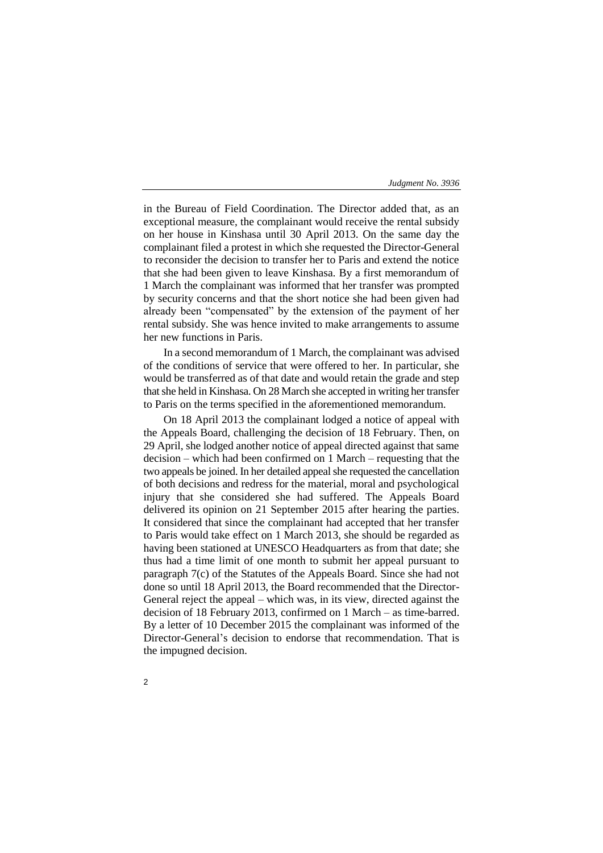in the Bureau of Field Coordination. The Director added that, as an exceptional measure, the complainant would receive the rental subsidy on her house in Kinshasa until 30 April 2013. On the same day the complainant filed a protest in which she requested the Director-General to reconsider the decision to transfer her to Paris and extend the notice that she had been given to leave Kinshasa. By a first memorandum of 1 March the complainant was informed that her transfer was prompted by security concerns and that the short notice she had been given had already been "compensated" by the extension of the payment of her rental subsidy. She was hence invited to make arrangements to assume her new functions in Paris.

In a second memorandum of 1 March, the complainant was advised of the conditions of service that were offered to her. In particular, she would be transferred as of that date and would retain the grade and step that she held in Kinshasa. On 28 March she accepted in writing her transfer to Paris on the terms specified in the aforementioned memorandum.

On 18 April 2013 the complainant lodged a notice of appeal with the Appeals Board, challenging the decision of 18 February. Then, on 29 April, she lodged another notice of appeal directed against that same decision – which had been confirmed on 1 March – requesting that the two appeals be joined. In her detailed appeal she requested the cancellation of both decisions and redress for the material, moral and psychological injury that she considered she had suffered. The Appeals Board delivered its opinion on 21 September 2015 after hearing the parties. It considered that since the complainant had accepted that her transfer to Paris would take effect on 1 March 2013, she should be regarded as having been stationed at UNESCO Headquarters as from that date; she thus had a time limit of one month to submit her appeal pursuant to paragraph 7(c) of the Statutes of the Appeals Board. Since she had not done so until 18 April 2013, the Board recommended that the Director-General reject the appeal – which was, in its view, directed against the decision of 18 February 2013, confirmed on 1 March – as time-barred. By a letter of 10 December 2015 the complainant was informed of the Director-General's decision to endorse that recommendation. That is the impugned decision.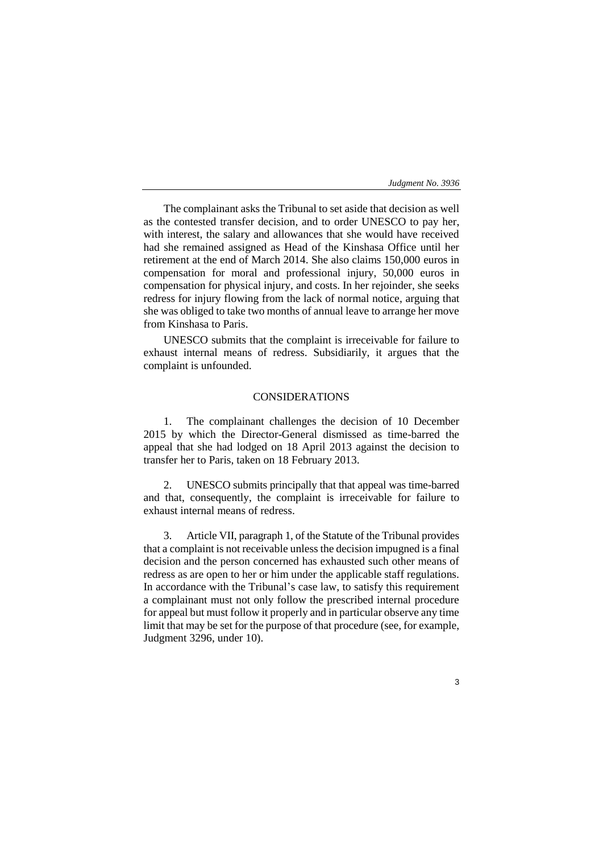The complainant asks the Tribunal to set aside that decision as well as the contested transfer decision, and to order UNESCO to pay her, with interest, the salary and allowances that she would have received had she remained assigned as Head of the Kinshasa Office until her retirement at the end of March 2014. She also claims 150,000 euros in compensation for moral and professional injury, 50,000 euros in compensation for physical injury, and costs. In her rejoinder, she seeks redress for injury flowing from the lack of normal notice, arguing that she was obliged to take two months of annual leave to arrange her move from Kinshasa to Paris.

UNESCO submits that the complaint is irreceivable for failure to exhaust internal means of redress. Subsidiarily, it argues that the complaint is unfounded.

# CONSIDERATIONS

1. The complainant challenges the decision of 10 December 2015 by which the Director-General dismissed as time-barred the appeal that she had lodged on 18 April 2013 against the decision to transfer her to Paris, taken on 18 February 2013.

2. UNESCO submits principally that that appeal was time-barred and that, consequently, the complaint is irreceivable for failure to exhaust internal means of redress.

3. Article VII, paragraph 1, of the Statute of the Tribunal provides that a complaint is not receivable unless the decision impugned is a final decision and the person concerned has exhausted such other means of redress as are open to her or him under the applicable staff regulations. In accordance with the Tribunal's case law, to satisfy this requirement a complainant must not only follow the prescribed internal procedure for appeal but must follow it properly and in particular observe any time limit that may be set for the purpose of that procedure (see, for example, Judgment 3296, under 10).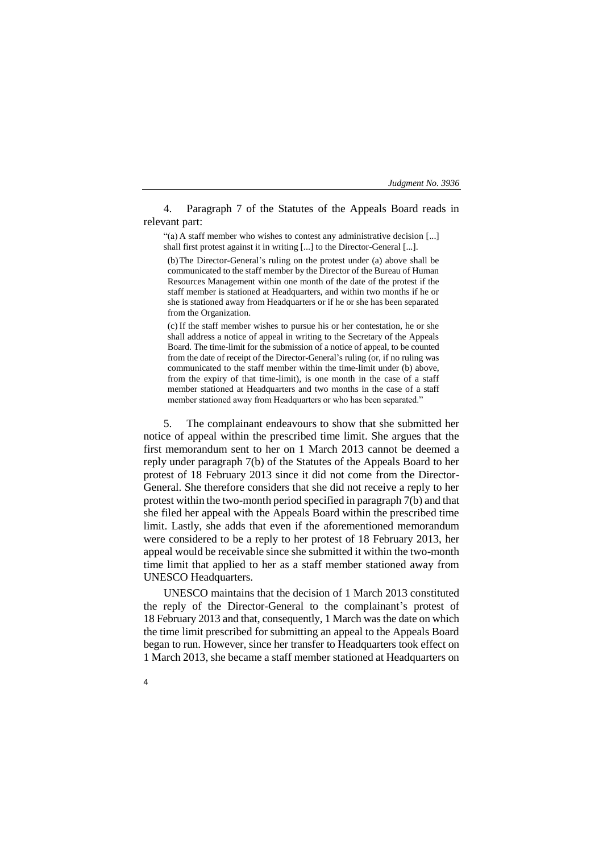4. Paragraph 7 of the Statutes of the Appeals Board reads in relevant part:

"(a) A staff member who wishes to contest any administrative decision [...] shall first protest against it in writing [...] to the Director-General [...].

(b)The Director-General's ruling on the protest under (a) above shall be communicated to the staff member by the Director of the Bureau of Human Resources Management within one month of the date of the protest if the staff member is stationed at Headquarters, and within two months if he or she is stationed away from Headquarters or if he or she has been separated from the Organization.

(c) If the staff member wishes to pursue his or her contestation, he or she shall address a notice of appeal in writing to the Secretary of the Appeals Board. The time-limit for the submission of a notice of appeal, to be counted from the date of receipt of the Director-General's ruling (or, if no ruling was communicated to the staff member within the time-limit under (b) above, from the expiry of that time-limit), is one month in the case of a staff member stationed at Headquarters and two months in the case of a staff member stationed away from Headquarters or who has been separated."

5. The complainant endeavours to show that she submitted her notice of appeal within the prescribed time limit. She argues that the first memorandum sent to her on 1 March 2013 cannot be deemed a reply under paragraph 7(b) of the Statutes of the Appeals Board to her protest of 18 February 2013 since it did not come from the Director-General. She therefore considers that she did not receive a reply to her protest within the two-month period specified in paragraph 7(b) and that she filed her appeal with the Appeals Board within the prescribed time limit. Lastly, she adds that even if the aforementioned memorandum were considered to be a reply to her protest of 18 February 2013, her appeal would be receivable since she submitted it within the two-month time limit that applied to her as a staff member stationed away from UNESCO Headquarters.

UNESCO maintains that the decision of 1 March 2013 constituted the reply of the Director-General to the complainant's protest of 18 February 2013 and that, consequently, 1 March was the date on which the time limit prescribed for submitting an appeal to the Appeals Board began to run. However, since her transfer to Headquarters took effect on 1 March 2013, she became a staff member stationed at Headquarters on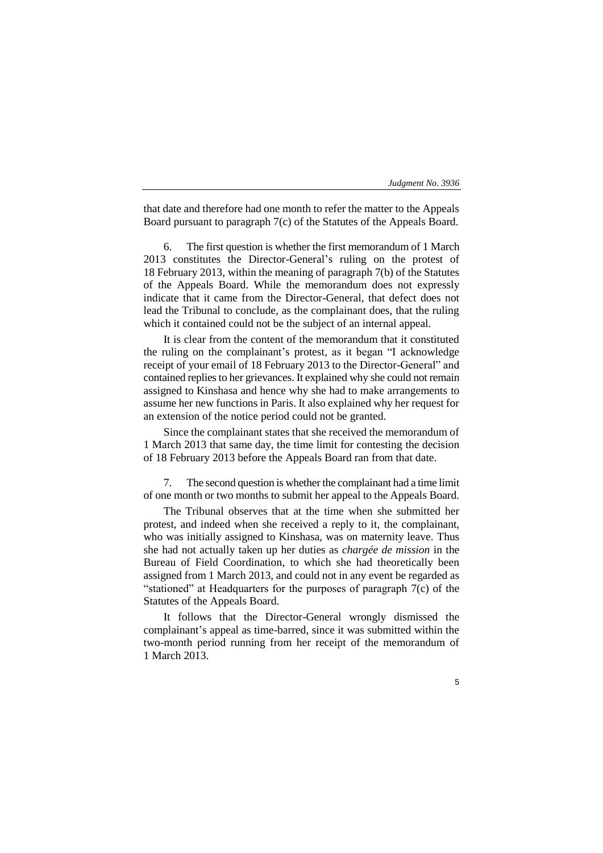that date and therefore had one month to refer the matter to the Appeals Board pursuant to paragraph 7(c) of the Statutes of the Appeals Board.

The first question is whether the first memorandum of 1 March 2013 constitutes the Director-General's ruling on the protest of 18 February 2013, within the meaning of paragraph 7(b) of the Statutes of the Appeals Board. While the memorandum does not expressly indicate that it came from the Director-General, that defect does not lead the Tribunal to conclude, as the complainant does, that the ruling which it contained could not be the subject of an internal appeal.

It is clear from the content of the memorandum that it constituted the ruling on the complainant's protest, as it began "I acknowledge receipt of your email of 18 February 2013 to the Director-General" and contained replies to her grievances. It explained why she could not remain assigned to Kinshasa and hence why she had to make arrangements to assume her new functions in Paris. It also explained why her request for an extension of the notice period could not be granted.

Since the complainant states that she received the memorandum of 1 March 2013 that same day, the time limit for contesting the decision of 18 February 2013 before the Appeals Board ran from that date.

7. The second question is whether the complainant had a time limit of one month or two months to submit her appeal to the Appeals Board.

The Tribunal observes that at the time when she submitted her protest, and indeed when she received a reply to it, the complainant, who was initially assigned to Kinshasa, was on maternity leave. Thus she had not actually taken up her duties as *chargée de mission* in the Bureau of Field Coordination, to which she had theoretically been assigned from 1 March 2013, and could not in any event be regarded as "stationed" at Headquarters for the purposes of paragraph 7(c) of the Statutes of the Appeals Board.

It follows that the Director-General wrongly dismissed the complainant's appeal as time-barred, since it was submitted within the two-month period running from her receipt of the memorandum of 1 March 2013.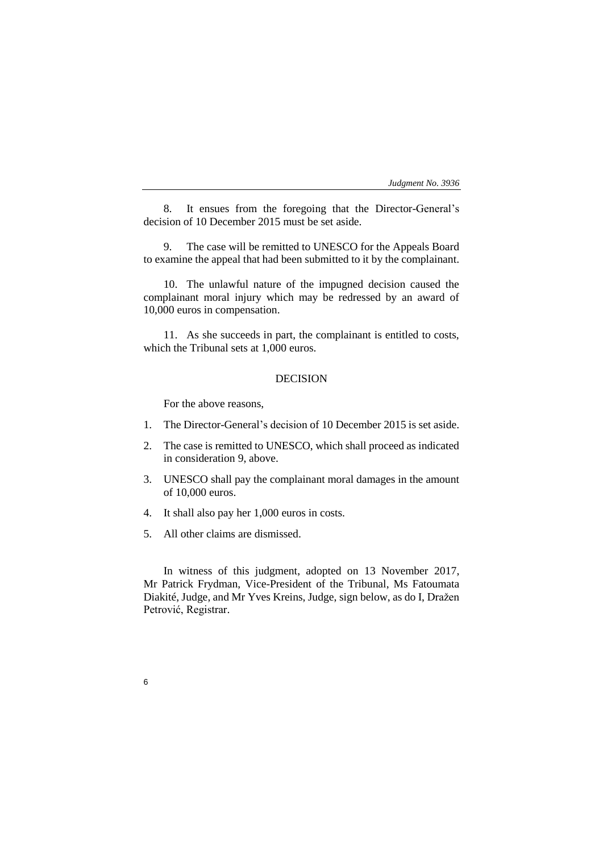8. It ensues from the foregoing that the Director-General's decision of 10 December 2015 must be set aside.

9. The case will be remitted to UNESCO for the Appeals Board to examine the appeal that had been submitted to it by the complainant.

10. The unlawful nature of the impugned decision caused the complainant moral injury which may be redressed by an award of 10,000 euros in compensation.

11. As she succeeds in part, the complainant is entitled to costs, which the Tribunal sets at 1,000 euros.

# DECISION

For the above reasons,

- 1. The Director-General's decision of 10 December 2015 is set aside.
- 2. The case is remitted to UNESCO, which shall proceed as indicated in consideration 9, above.
- 3. UNESCO shall pay the complainant moral damages in the amount of 10,000 euros.
- 4. It shall also pay her 1,000 euros in costs.
- 5. All other claims are dismissed.

6

In witness of this judgment, adopted on 13 November 2017, Mr Patrick Frydman, Vice-President of the Tribunal, Ms Fatoumata Diakité, Judge, and Mr Yves Kreins, Judge, sign below, as do I, Dražen Petrović, Registrar.